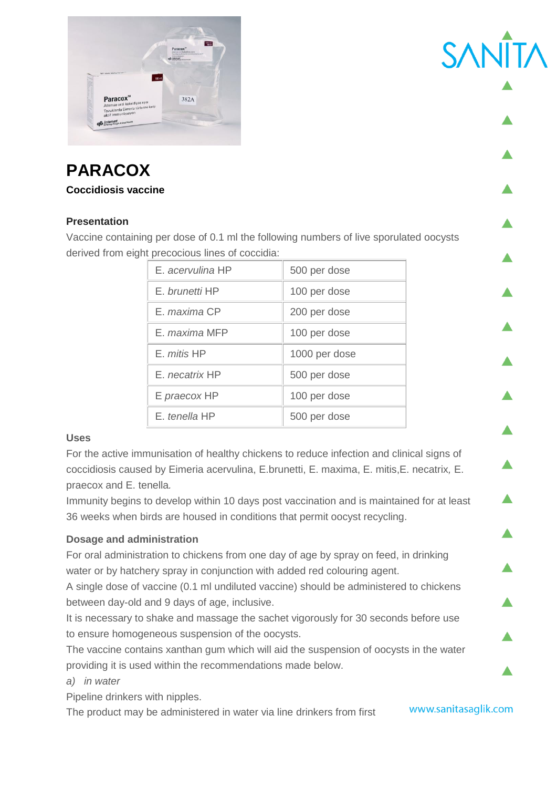

## **PARACOX**

#### **Coccidiosis vaccine**

### **Presentation**

Vaccine containing per dose of 0.1 ml the following numbers of live sporulated oocysts derived from eight precocious lines of coccidia:

| E, acervulina HP      | 500 per dose  |
|-----------------------|---------------|
| E. brunetti HP        | 100 per dose  |
| F. maxima CP          | 200 per dose  |
| F. maxima MFP         | 100 per dose  |
| E. mitis HP           | 1000 per dose |
| E. <i>necatrix</i> HP | 500 per dose  |
| E praecox HP          | 100 per dose  |
| F, tenella HP         | 500 per dose  |

#### **Uses**

For the active immunisation of healthy chickens to reduce infection and clinical signs of coccidiosis caused by Eimeria acervulina, E.brunetti, E. maxima, E. mitis,E. necatrix*,* E. praecox and E. tenella*.*

Immunity begins to develop within 10 days post vaccination and is maintained for at least 36 weeks when birds are housed in conditions that permit oocyst recycling.

#### **Dosage and administration**

For oral administration to chickens from one day of age by spray on feed, in drinking water or by hatchery spray in conjunction with added red colouring agent.

A single dose of vaccine (0.1 ml undiluted vaccine) should be administered to chickens between day-old and 9 days of age, inclusive.

It is necessary to shake and massage the sachet vigorously for 30 seconds before use to ensure homogeneous suspension of the oocysts.

The vaccine contains xanthan gum which will aid the suspension of oocysts in the water providing it is used within the recommendations made below.

#### *a) in water*

Pipeline drinkers with nipples.

The product may be administered in water via line drinkers from first

www.sanitasaglik.com

**SAN**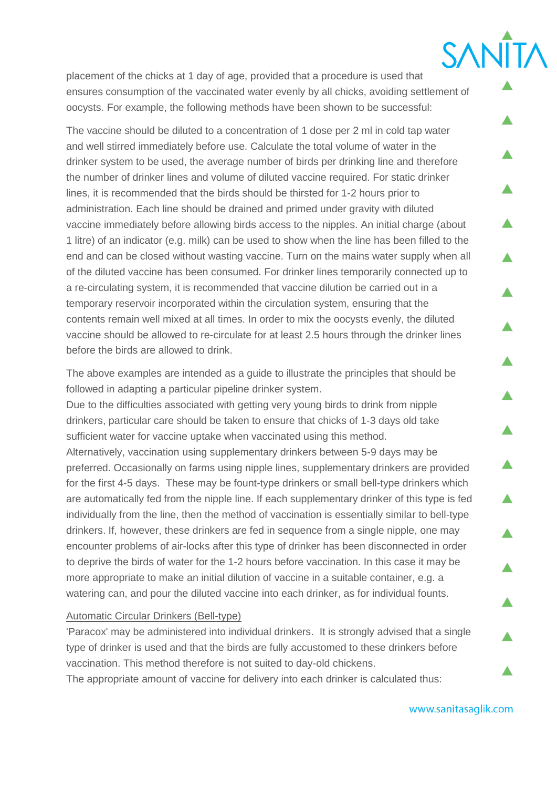placement of the chicks at 1 day of age, provided that a procedure is used that ensures consumption of the vaccinated water evenly by all chicks, avoiding settlement of oocysts. For example, the following methods have been shown to be successful:

The vaccine should be diluted to a concentration of 1 dose per 2 ml in cold tap water and well stirred immediately before use. Calculate the total volume of water in the drinker system to be used, the average number of birds per drinking line and therefore the number of drinker lines and volume of diluted vaccine required. For static drinker lines, it is recommended that the birds should be thirsted for 1-2 hours prior to administration. Each line should be drained and primed under gravity with diluted vaccine immediately before allowing birds access to the nipples. An initial charge (about 1 litre) of an indicator (e.g. milk) can be used to show when the line has been filled to the end and can be closed without wasting vaccine. Turn on the mains water supply when all of the diluted vaccine has been consumed. For drinker lines temporarily connected up to a re-circulating system, it is recommended that vaccine dilution be carried out in a temporary reservoir incorporated within the circulation system, ensuring that the contents remain well mixed at all times. In order to mix the oocysts evenly, the diluted vaccine should be allowed to re-circulate for at least 2.5 hours through the drinker lines before the birds are allowed to drink.

The above examples are intended as a guide to illustrate the principles that should be followed in adapting a particular pipeline drinker system.

Due to the difficulties associated with getting very young birds to drink from nipple drinkers, particular care should be taken to ensure that chicks of 1-3 days old take sufficient water for vaccine uptake when vaccinated using this method. Alternatively, vaccination using supplementary drinkers between 5-9 days may be preferred. Occasionally on farms using nipple lines, supplementary drinkers are provided for the first 4-5 days. These may be fount-type drinkers or small bell-type drinkers which are automatically fed from the nipple line. If each supplementary drinker of this type is fed individually from the line, then the method of vaccination is essentially similar to bell-type drinkers. If, however, these drinkers are fed in sequence from a single nipple, one may encounter problems of air-locks after this type of drinker has been disconnected in order to deprive the birds of water for the 1-2 hours before vaccination. In this case it may be more appropriate to make an initial dilution of vaccine in a suitable container, e.g. a watering can, and pour the diluted vaccine into each drinker, as for individual founts.

#### Automatic Circular Drinkers (Bell-type)

'Paracox' may be administered into individual drinkers. It is strongly advised that a single type of drinker is used and that the birds are fully accustomed to these drinkers before vaccination. This method therefore is not suited to day-old chickens.

The appropriate amount of vaccine for delivery into each drinker is calculated thus:

**SANĪTA**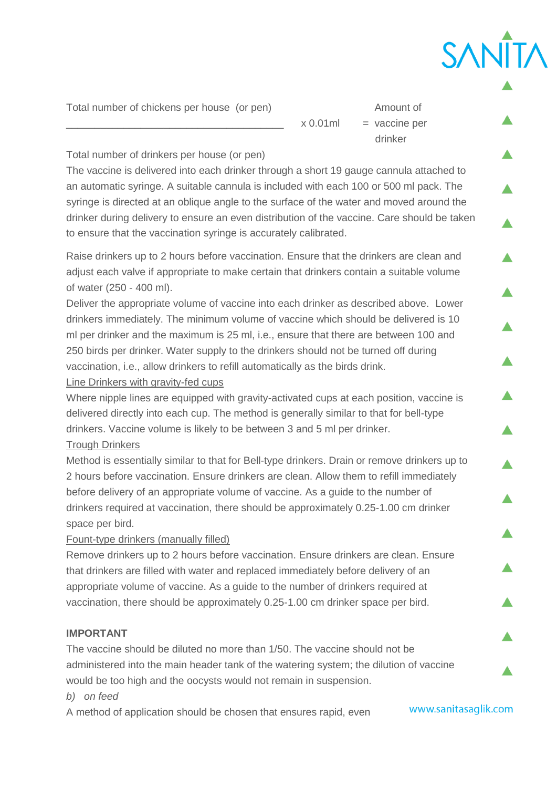Total number of chickens per house (or pen) Amount of

 $x 0.01$ ml = vaccine per

drinker and the state of the state of the state of the state of the state of the state of the state of the state of the state of the state of the state of the state of the state of the state of the state of the state of th

SANĪT

Total number of drinkers per house (or pen)

The vaccine is delivered into each drinker through a short 19 gauge cannula attached to an automatic syringe. A suitable cannula is included with each 100 or 500 ml pack. The syringe is directed at an oblique angle to the surface of the water and moved around the drinker during delivery to ensure an even distribution of the vaccine. Care should be taken to ensure that the vaccination syringe is accurately calibrated.

Raise drinkers up to 2 hours before vaccination. Ensure that the drinkers are clean and adjust each valve if appropriate to make certain that drinkers contain a suitable volume of water (250 - 400 ml).

Deliver the appropriate volume of vaccine into each drinker as described above. Lower drinkers immediately. The minimum volume of vaccine which should be delivered is 10 ml per drinker and the maximum is 25 ml, i.e., ensure that there are between 100 and 250 birds per drinker. Water supply to the drinkers should not be turned off during vaccination, i.e., allow drinkers to refill automatically as the birds drink.

Line Drinkers with gravity-fed cups

Where nipple lines are equipped with gravity-activated cups at each position, vaccine is delivered directly into each cup. The method is generally similar to that for bell-type drinkers. Vaccine volume is likely to be between 3 and 5 ml per drinker. Trough Drinkers

Method is essentially similar to that for Bell-type drinkers. Drain or remove drinkers up to 2 hours before vaccination. Ensure drinkers are clean. Allow them to refill immediately before delivery of an appropriate volume of vaccine. As a guide to the number of drinkers required at vaccination, there should be approximately 0.25-1.00 cm drinker space per bird.

Fount-type drinkers (manually filled)

Remove drinkers up to 2 hours before vaccination. Ensure drinkers are clean. Ensure that drinkers are filled with water and replaced immediately before delivery of an appropriate volume of vaccine. As a guide to the number of drinkers required at vaccination, there should be approximately 0.25-1.00 cm drinker space per bird.

#### **IMPORTANT**

The vaccine should be diluted no more than 1/50. The vaccine should not be administered into the main header tank of the watering system; the dilution of vaccine would be too high and the oocysts would not remain in suspension.

*b) on feed*

A method of application should be chosen that ensures rapid, even

www.sanitasaglik.com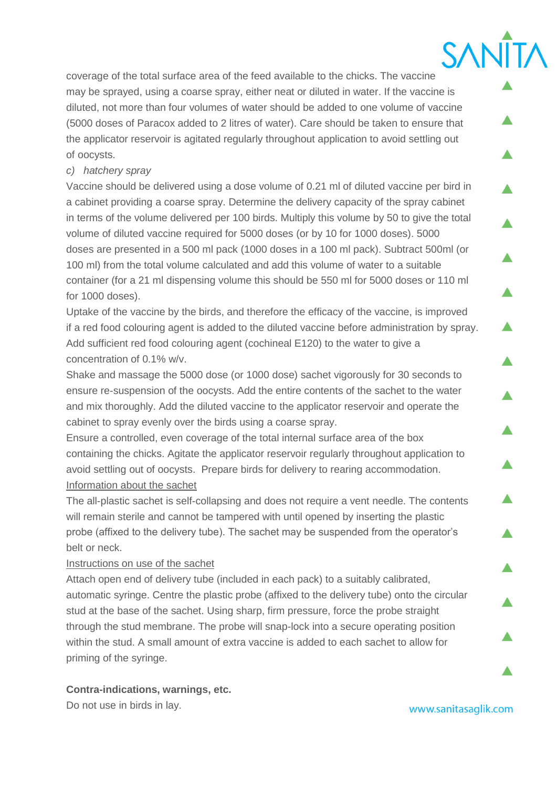coverage of the total surface area of the feed available to the chicks. The vaccine may be sprayed, using a coarse spray, either neat or diluted in water. If the vaccine is diluted, not more than four volumes of water should be added to one volume of vaccine (5000 doses of Paracox added to 2 litres of water). Care should be taken to ensure that the applicator reservoir is agitated regularly throughout application to avoid settling out of oocysts.

### *c) hatchery spray*

Vaccine should be delivered using a dose volume of 0.21 ml of diluted vaccine per bird in a cabinet providing a coarse spray. Determine the delivery capacity of the spray cabinet in terms of the volume delivered per 100 birds. Multiply this volume by 50 to give the total volume of diluted vaccine required for 5000 doses (or by 10 for 1000 doses). 5000 doses are presented in a 500 ml pack (1000 doses in a 100 ml pack). Subtract 500ml (or 100 ml) from the total volume calculated and add this volume of water to a suitable container (for a 21 ml dispensing volume this should be 550 ml for 5000 doses or 110 ml for 1000 doses).

Uptake of the vaccine by the birds, and therefore the efficacy of the vaccine, is improved if a red food colouring agent is added to the diluted vaccine before administration by spray. Add sufficient red food colouring agent (cochineal E120) to the water to give a concentration of 0.1% w/v.

Shake and massage the 5000 dose (or 1000 dose) sachet vigorously for 30 seconds to ensure re-suspension of the oocysts. Add the entire contents of the sachet to the water and mix thoroughly. Add the diluted vaccine to the applicator reservoir and operate the cabinet to spray evenly over the birds using a coarse spray.

Ensure a controlled, even coverage of the total internal surface area of the box containing the chicks. Agitate the applicator reservoir regularly throughout application to avoid settling out of oocysts. Prepare birds for delivery to rearing accommodation. Information about the sachet

The all-plastic sachet is self-collapsing and does not require a vent needle. The contents will remain sterile and cannot be tampered with until opened by inserting the plastic probe (affixed to the delivery tube). The sachet may be suspended from the operator's belt or neck.

#### Instructions on use of the sachet

Attach open end of delivery tube (included in each pack) to a suitably calibrated, automatic syringe. Centre the plastic probe (affixed to the delivery tube) onto the circular stud at the base of the sachet. Using sharp, firm pressure, force the probe straight through the stud membrane. The probe will snap-lock into a secure operating position within the stud. A small amount of extra vaccine is added to each sachet to allow for priming of the syringe.

#### **Contra-indications, warnings, etc.**

Do not use in birds in lay.

www.sanitasaglik.com

SANĪT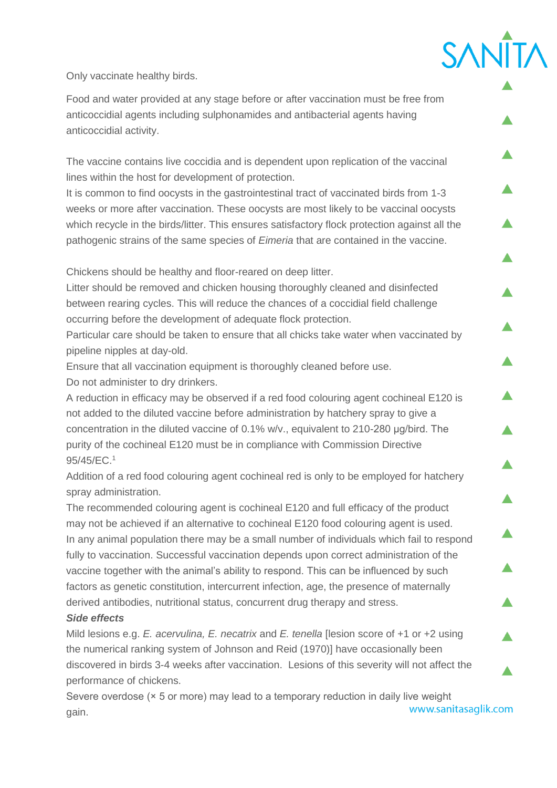# **SANÎT**

Only vaccinate healthy birds.

Food and water provided at any stage before or after vaccination must be free from anticoccidial agents including sulphonamides and antibacterial agents having anticoccidial activity.

The vaccine contains live coccidia and is dependent upon replication of the vaccinal lines within the host for development of protection.

It is common to find oocysts in the gastrointestinal tract of vaccinated birds from 1-3 weeks or more after vaccination. These oocysts are most likely to be vaccinal oocysts which recycle in the birds/litter. This ensures satisfactory flock protection against all the pathogenic strains of the same species of *Eimeria* that are contained in the vaccine.

Chickens should be healthy and floor-reared on deep litter.

Litter should be removed and chicken housing thoroughly cleaned and disinfected between rearing cycles. This will reduce the chances of a coccidial field challenge occurring before the development of adequate flock protection.

Particular care should be taken to ensure that all chicks take water when vaccinated by pipeline nipples at day-old.

Ensure that all vaccination equipment is thoroughly cleaned before use. Do not administer to dry drinkers.

A reduction in efficacy may be observed if a red food colouring agent cochineal E120 is not added to the diluted vaccine before administration by hatchery spray to give a concentration in the diluted vaccine of 0.1% w/v., equivalent to 210-280 µg/bird. The purity of the cochineal E120 must be in compliance with Commission Directive 95/45/EC.<sup>1</sup>

Addition of a red food colouring agent cochineal red is only to be employed for hatchery spray administration.

The recommended colouring agent is cochineal E120 and full efficacy of the product may not be achieved if an alternative to cochineal E120 food colouring agent is used. In any animal population there may be a small number of individuals which fail to respond fully to vaccination. Successful vaccination depends upon correct administration of the vaccine together with the animal's ability to respond. This can be influenced by such factors as genetic constitution, intercurrent infection, age, the presence of maternally derived antibodies, nutritional status, concurrent drug therapy and stress.

#### *Side effects*

Mild lesions e.g. *E. acervulina, E. necatrix* and *E. tenella* [lesion score of +1 or +2 using the numerical ranking system of Johnson and Reid (1970)] have occasionally been discovered in birds 3-4 weeks after vaccination. Lesions of this severity will not affect the performance of chickens.

Severe overdose (× 5 or more) may lead to a temporary reduction in daily live weight www.sanitasaglik.com gain.